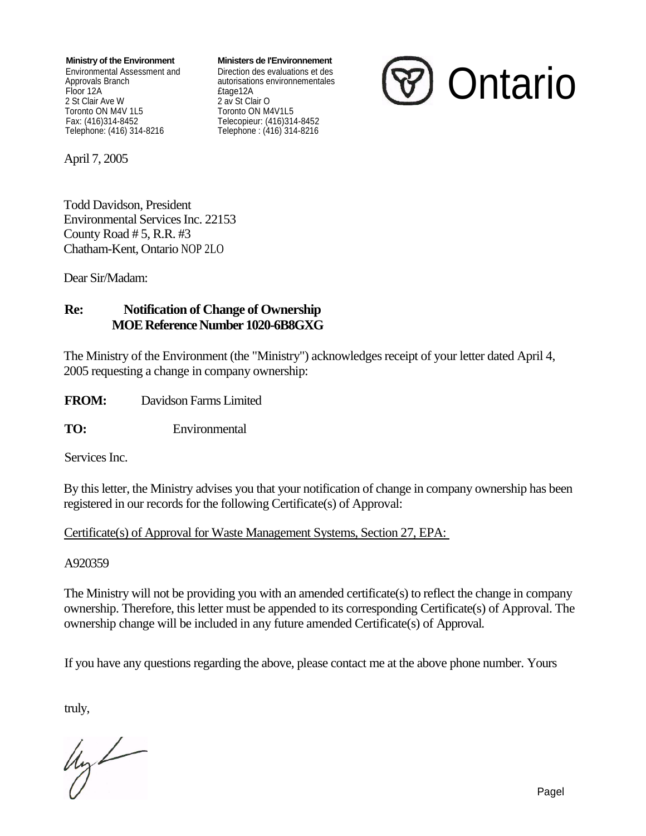**Ministry of the Environment Ministers de I'Environnement**

Floor 12A<br>
2 St Clair Ave W<br>
2 av St Clair Ave W Toronto ON M4V 1L5<br>Fax: (416)314-8452 Fax: (416)314-8452 Telecopieur: (416)314-8452

Environmental Assessment and Direction des evaluations et des autorisations environnementales 2 av St Clair O<br>Toronto ON M4V1L5 Telephone: (416) 314-8216 Telephone : (416) 314-8216



April 7, 2005

Todd Davidson, President Environmental Services Inc. 22153 County Road  $# 5$ , R.R.  $#3$ Chatham-Kent, Ontario NOP 2LO

Dear Sir/Madam:

### **Re: Notification of Change of Ownership MOE Reference Number 1020-6B8GXG**

The Ministry of the Environment (the "Ministry") acknowledges receipt of your letter dated April 4, 2005 requesting a change in company ownership:

**FROM:** Davidson Farms Limited

**TO:** Environmental

Services Inc.

By this letter, the Ministry advises you that your notification of change in company ownership has been registered in our records for the following Certificate(s) of Approval:

Certificate(s) of Approval for Waste Management Systems, Section 27, EPA:

#### A920359

The Ministry will not be providing you with an amended certificate(s) to reflect the change in company ownership. Therefore, this letter must be appended to its corresponding Certificate(s) of Approval. The ownership change will be included in any future amended Certificate(s) of Approval.

If you have any questions regarding the above, please contact me at the above phone number. Yours

truly,

 $4y$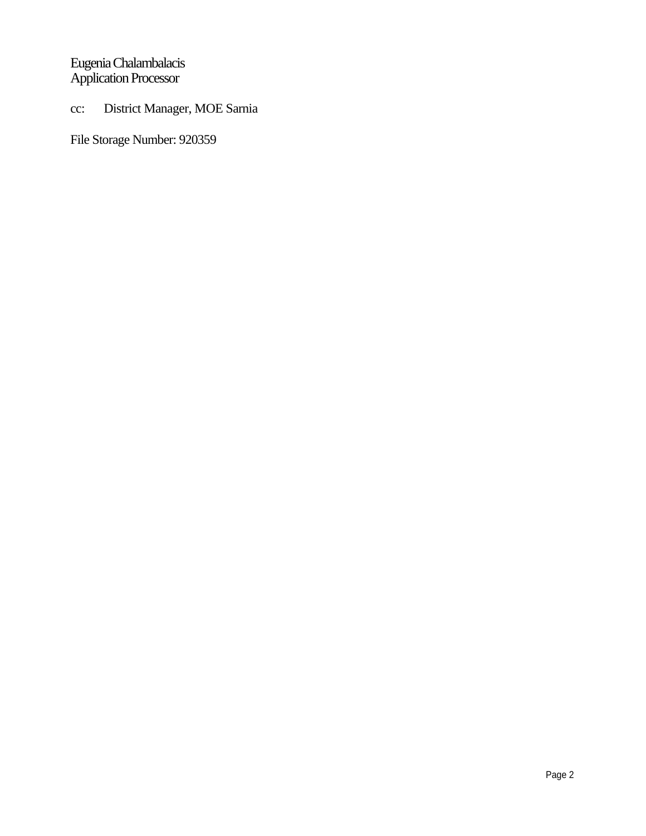# Eugenia Chalambalacis Application Processor

# cc: District Manager, MOE Sarnia

File Storage Number: 920359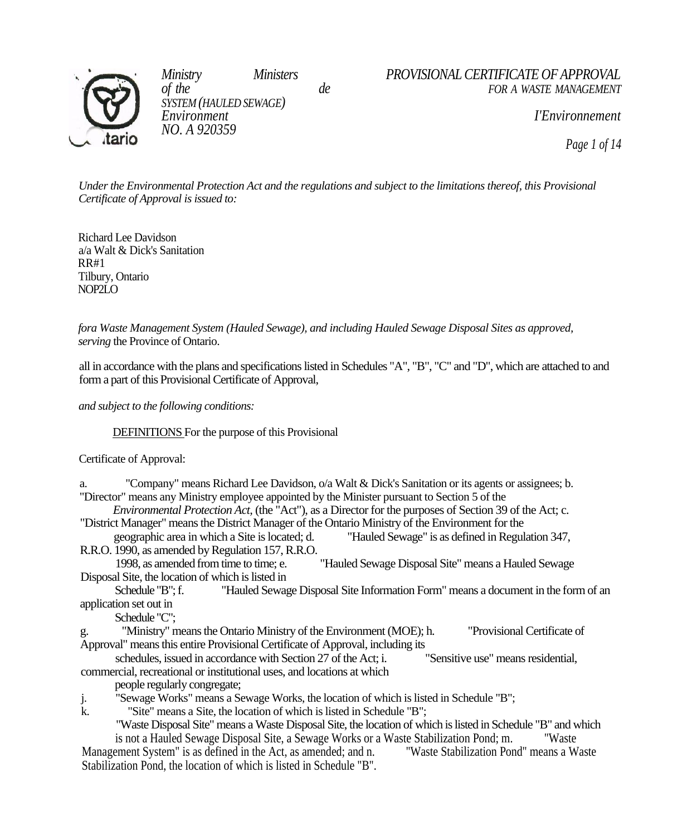

*SYSTEM (HAULED SEWAGE) NO. A 920359*

*Ministry Ministers de PROVISIONAL CERTIFICATE OF APPROVAL*<br>*de FOR A WASTE MANAGEMENT of the de FOR A WASTE MANAGEMENT* 

*Environment I'Environnement* 

*Page 1 of 14*

*Under the Environmental Protection Act and the regulations and subject to the limitations thereof, this Provisional Certificate of Approval is issued to:*

Richard Lee Davidson a/a Walt & Dick's Sanitation RR#1 Tilbury, Ontario NOP2LO

*fora Waste Management System (Hauled Sewage), and including Hauled Sewage Disposal Sites as approved, serving* the Province of Ontario.

all in accordance with the plans and specifications listed in Schedules "A", "B", "C" and "D", which are attached to and form a part of this Provisional Certificate of Approval,

*and subject to the following conditions:*

DEFINITIONS For the purpose of this Provisional

Certificate of Approval:

a. "Company" means Richard Lee Davidson, o/a Walt & Dick's Sanitation or its agents or assignees; b. "Director" means any Ministry employee appointed by the Minister pursuant to Section 5 of the

*Environmental Protection Act,* (the "Act"), as a Director for the purposes of Section 39 of the Act; c. "District Manager" means the District Manager of the Ontario Ministry of the Environment for the

geographic area in which a Site is located; d. "Hauled Sewage" is as defined in Regulation 347, R.R.O. 1990, as amended by Regulation 157, R.R.O.

"Hauled Sewage Disposal Site" means a Hauled Sewage Disposal Site, the location of which is listed in

Schedule "B"; f. "Hauled Sewage Disposal Site Information Form" means a document in the form of an application set out in

Schedule "C";

g. "Ministry" means the Ontario Ministry of the Environment (MOE); h. "Provisional Certificate of Approval" means this entire Provisional Certificate of Approval, including its

schedules, issued in accordance with Section 27 of the Act; i. "Sensitive use" means residential, commercial, recreational or institutional uses, and locations at which

people regularly congregate;

- j. "Sewage Works" means a Sewage Works, the location of which is listed in Schedule "B";
- k. "Site" means a Site, the location of which is listed in Schedule "B";

"Waste Disposal Site" means a Waste Disposal Site, the location of which is listed in Schedule "B" and which is not a Hauled Sewage Disposal Site, a Sewage Works or a Waste Stabilization Pond; m. "Waste Management System" is as defined in the Act, as amended; and n. "Waste Stabilization Pond" means a Waste Stabilization Pond, the location of which is listed in Schedule "B".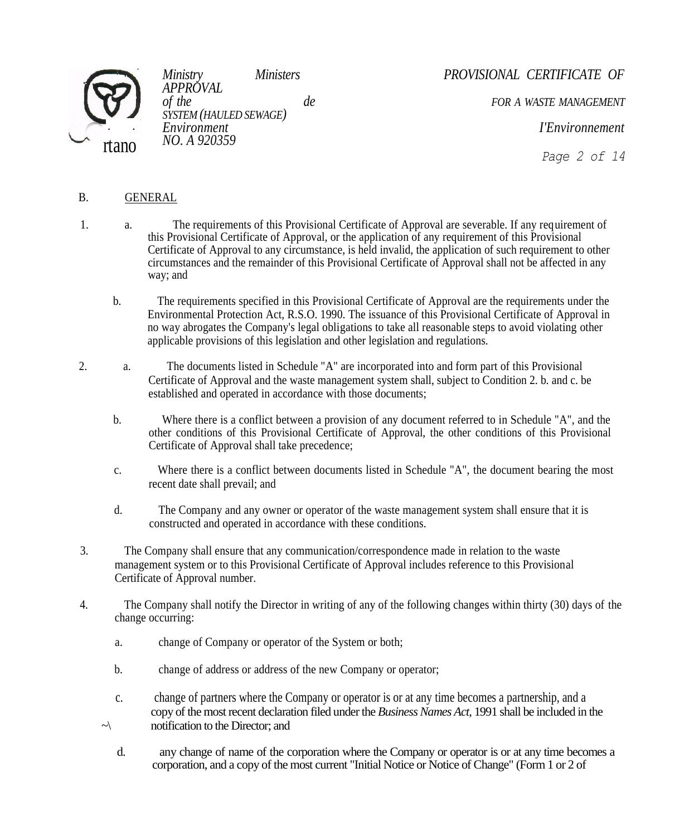

*APPROVAL SYSTEM (HAULED SEWAGE) NO. A 920359*

*Ministry Ministers PROVISIONAL CERTIFICATE OF* 

*of the de FOR A WASTE MANAGEMENT* 

*Environment I'Environnement* 

*Page 2 of 14*

## B. GENERAL

- 1. a. The requirements of this Provisional Certificate of Approval are severable. If any requirement of this Provisional Certificate of Approval, or the application of any requirement of this Provisional Certificate of Approval to any circumstance, is held invalid, the application of such requirement to other circumstances and the remainder of this Provisional Certificate of Approval shall not be affected in any way; and
	- b. The requirements specified in this Provisional Certificate of Approval are the requirements under the Environmental Protection Act, R.S.O. 1990. The issuance of this Provisional Certificate of Approval in no way abrogates the Company's legal obligations to take all reasonable steps to avoid violating other applicable provisions of this legislation and other legislation and regulations.
- 2. a. The documents listed in Schedule "A" are incorporated into and form part of this Provisional Certificate of Approval and the waste management system shall, subject to Condition 2. b. and c. be established and operated in accordance with those documents;
	- b. Where there is a conflict between a provision of any document referred to in Schedule "A", and the other conditions of this Provisional Certificate of Approval, the other conditions of this Provisional Certificate of Approval shall take precedence;
	- c. Where there is a conflict between documents listed in Schedule "A", the document bearing the most recent date shall prevail; and
	- d. The Company and any owner or operator of the waste management system shall ensure that it is constructed and operated in accordance with these conditions.
- 3. The Company shall ensure that any communication/correspondence made in relation to the waste management system or to this Provisional Certificate of Approval includes reference to this Provisional Certificate of Approval number.
- 4. The Company shall notify the Director in writing of any of the following changes within thirty (30) days of the change occurring:
	- a. change of Company or operator of the System or both;
	- b. change of address or address of the new Company or operator;
	- c. change of partners where the Company or operator is or at any time becomes a partnership, and a copy of the most recent declaration filed under the *Business Names Act,* 1991 shall be included in the  $\sim$  notification to the Director; and
		- d. any change of name of the corporation where the Company or operator is or at any time becomes a corporation, and a copy of the most current "Initial Notice or Notice of Change" (Form 1 or 2 of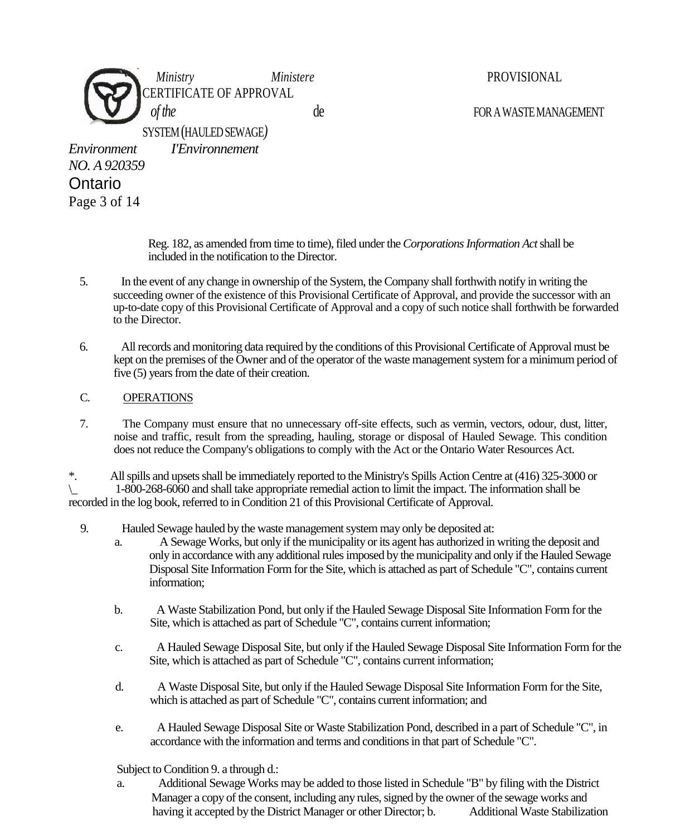

Reg. 182, as amended from time to time), filed under the *Corporations Information Act* shall be included in the notification to the Director.

- 5. In the event of any change in ownership of the System, the Company shall forthwith notify in writing the succeeding owner of the existence of this Provisional Certificate of Approval, and provide the successor with an up-to-date copy of this Provisional Certificate of Approval and a copy of such notice shall forthwith be forwarded to the Director.
- 6. All records and monitoring data required by the conditions of this Provisional Certificate of Approval must be kept on the premises of the Owner and of the operator of the waste management system for a minimum period of five (5) years from the date of their creation.

#### C. OPERATIONS

7. The Company must ensure that no unnecessary off-site effects, such as vermin, vectors, odour, dust, litter, noise and traffic, result from the spreading, hauling, storage or disposal of Hauled Sewage. This condition does not reduce the Company's obligations to comply with the Act or the Ontario Water Resources Act.

\*. All spills and upsets shall be immediately reported to the Ministry's Spills Action Centre at (416) 325-3000 or \\_ 1-800-268-6060 and shall take appropriate remedial action to limit the impact. The information shall be recorded in the log book, referred to in Condition 21 of this Provisional Certificate of Approval.

- 9. Hauled Sewage hauled by the waste management system may only be deposited at:
	- a. A Sewage Works, but only if the municipality or its agent has authorized in writing the deposit and only in accordance with any additional rules imposed by the municipality and only if the Hauled Sewage Disposal Site Information Form for the Site, which is attached as part of Schedule "C", contains current information;
	- b. A Waste Stabilization Pond, but only if the Hauled Sewage Disposal Site Information Form for the Site, which is attached as part of Schedule "C", contains current information;
	- c. A Hauled Sewage Disposal Site, but only if the Hauled Sewage Disposal Site Information Form for the Site, which is attached as part of Schedule "C", contains current information;
	- d. A Waste Disposal Site, but only if the Hauled Sewage Disposal Site Information Form for the Site, which is attached as part of Schedule "C", contains current information; and
	- e. A Hauled Sewage Disposal Site or Waste Stabilization Pond, described in a part of Schedule "C", in accordance with the information and terms and conditions in that part of Schedule "C".

Subject to Condition 9. a through d.:

a. Additional Sewage Works may be added to those listed in Schedule "B" by filing with the District Manager a copy of the consent, including any rules, signed by the owner of the sewage works and having it accepted by the District Manager or other Director; b. Additional Waste Stabilization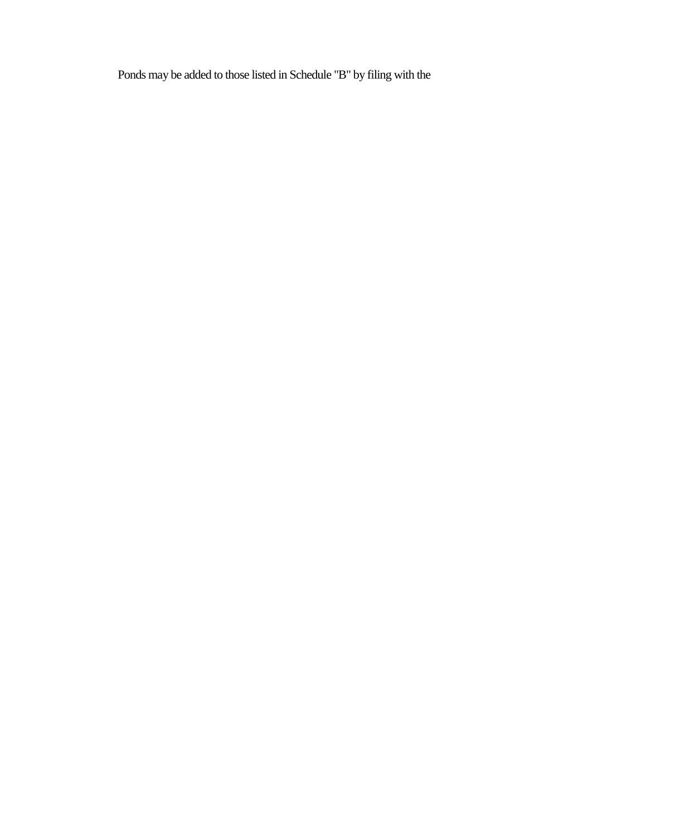Ponds may be added to those listed in Schedule "B" by filing with the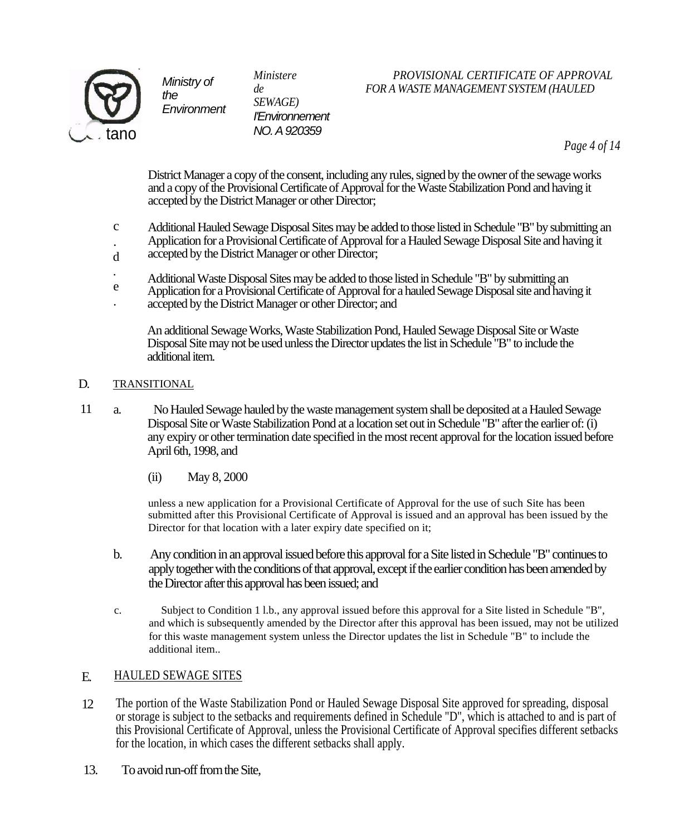

*SEWAGE) I'Environnement NO. A 920359*

## *Ministere PROVISIONAL CERTIFICATE OF APPROVAL de FOR A WASTE MANAGEMENT SYSTEM (HAULED*

*Page 4 of 14*

District Manager a copy of the consent, including any rules, signed by the owner of the sewage works and a copy of the Provisional Certificate of Approval for the Waste Stabilization Pond and having it accepted by the District Manager or other Director;

- Additional Hauled Sewage Disposal Sites may be added to those listed in Schedule "B" by submitting an Application for a Provisional Certificate of Approval for a Hauled Sewage Disposal Site and having it  $\mathbf{C}$ .
- accepted by the District Manager or other Director; d
- Additional Waste Disposal Sites may be added to those listed in Schedule "B" by submitting an .
- Application for a Provisional Certificate of Approval for a hauled Sewage Disposal site and having it accepted by the District Manager or other Director; and e .

An additional Sewage Works, Waste Stabilization Pond, Hauled Sewage Disposal Site or Waste Disposal Site may not be used unless the Director updates the list in Schedule "B" to include the additional item.

#### TRANSITIONAL D.

- a. No Hauled Sewage hauled by the waste management system shall be deposited at a Hauled Sewage Disposal Site or Waste Stabilization Pond at a location set out in Schedule "B" after the earlier of: (i) any expiry or other termination date specified in the most recent approval for the location issued before April 6th, 1998, and 11
	- (ii) May 8, 2000

unless a new application for a Provisional Certificate of Approval for the use of such Site has been submitted after this Provisional Certificate of Approval is issued and an approval has been issued by the Director for that location with a later expiry date specified on it;

- b. Any condition in an approval issued before this approval for a Site listed in Schedule "B" continues to apply together with the conditions of that approval, except if the earlier condition has been amended by the Director after this approval has been issued; and
- c. Subject to Condition 1 l.b., any approval issued before this approval for a Site listed in Schedule "B", and which is subsequently amended by the Director after this approval has been issued, may not be utilized for this waste management system unless the Director updates the list in Schedule "B" to include the additional item..

#### HAULED SEWAGE SITES E.

- The portion of the Waste Stabilization Pond or Hauled Sewage Disposal Site approved for spreading, disposal or storage is subject to the setbacks and requirements defined in Schedule "D", which is attached to and is part of this Provisional Certificate of Approval, unless the Provisional Certificate of Approval specifies different setbacks for the location, in which cases the different setbacks shall apply. 12
- 13. To avoid run-off from the Site,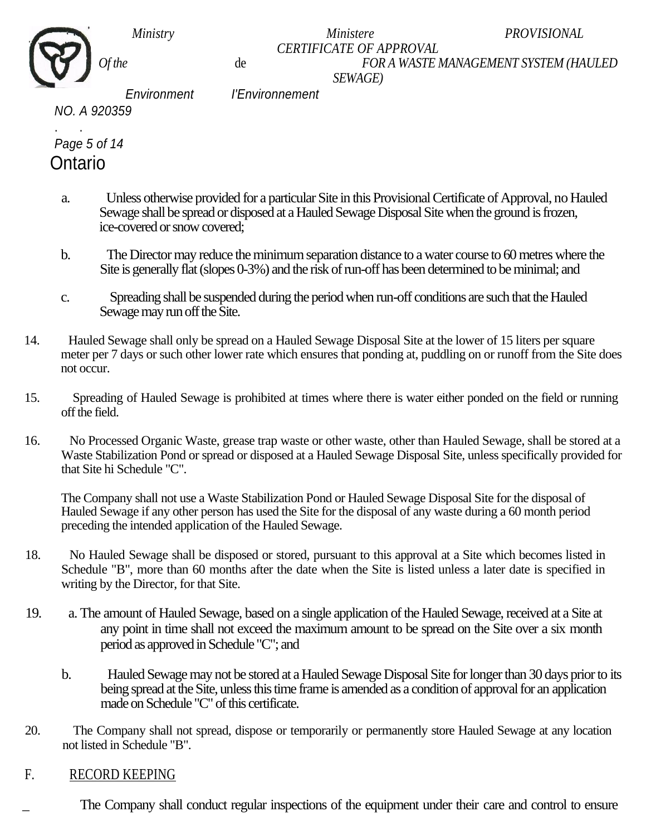*Ministry Ministere PROVISIONAL* 

#### *CERTIFICATE OF APPROVAL Of the* de *FOR A WASTE MANAGEMENT SYSTEM (HAULED SEWAGE)*

 *Environment I'Environnement NO. A 920359*

. . *Page 5 of 14* **Ontario** 

- a. Unless otherwise provided for a particular Site in this Provisional Certificate of Approval, no Hauled Sewage shall be spread or disposed at a Hauled Sewage Disposal Site when the ground is frozen, ice-covered or snow covered;
- b. The Director may reduce the minimum separation distance to a water course to 60 metres where the Site is generally flat (slopes 0-3%) and the risk of run-off has been determined to be minimal; and
- c. Spreading shall be suspended during the period when run-off conditions are such that the Hauled Sewage may run off the Site.
- 14. Hauled Sewage shall only be spread on a Hauled Sewage Disposal Site at the lower of 15 liters per square meter per 7 days or such other lower rate which ensures that ponding at, puddling on or runoff from the Site does not occur.
- 15. Spreading of Hauled Sewage is prohibited at times where there is water either ponded on the field or running off the field.
- 16. No Processed Organic Waste, grease trap waste or other waste, other than Hauled Sewage, shall be stored at a Waste Stabilization Pond or spread or disposed at a Hauled Sewage Disposal Site, unless specifically provided for that Site hi Schedule "C".

The Company shall not use a Waste Stabilization Pond or Hauled Sewage Disposal Site for the disposal of Hauled Sewage if any other person has used the Site for the disposal of any waste during a 60 month period preceding the intended application of the Hauled Sewage.

- 18. No Hauled Sewage shall be disposed or stored, pursuant to this approval at a Site which becomes listed in Schedule "B", more than 60 months after the date when the Site is listed unless a later date is specified in writing by the Director, for that Site.
- 19. a. The amount of Hauled Sewage, based on a single application of the Hauled Sewage, received at a Site at any point in time shall not exceed the maximum amount to be spread on the Site over a six month period as approved in Schedule "C"; and
	- b. Hauled Sewage may not be stored at a Hauled Sewage Disposal Site for longer than 30 days prior to its being spread at the Site, unless this time frame is amended as a condition of approval for an application made on Schedule "C" of this certificate.
- 20. The Company shall not spread, dispose or temporarily or permanently store Hauled Sewage at any location not listed in Schedule "B".

# F. RECORD KEEPING

The Company shall conduct regular inspections of the equipment under their care and control to ensure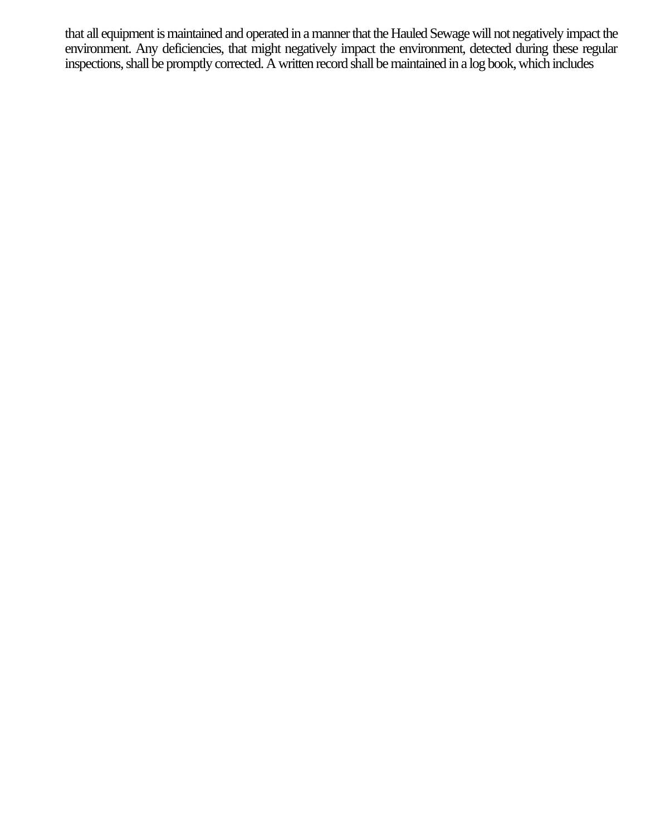that all equipment is maintained and operated in a manner that the Hauled Sewage will not negatively impact the environment. Any deficiencies, that might negatively impact the environment, detected during these regular inspections, shall be promptly corrected. A written record shall be maintained in a log book, which includes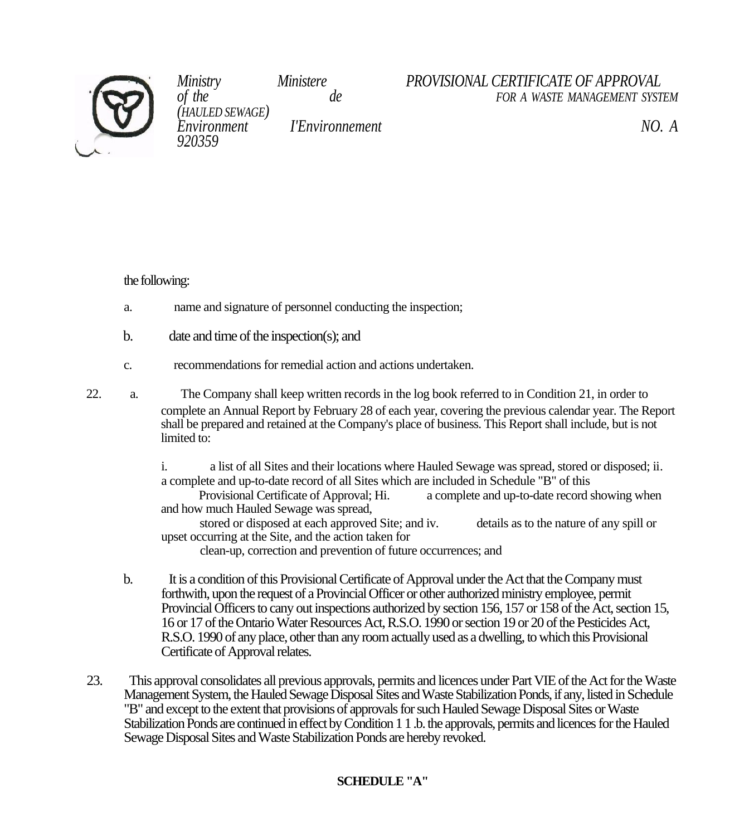

*(HAULED SEWAGE) 920359* 

*Environment I'Environnement NO. A* 

# *Ministry Ministere PROVISIONAL CERTIFICATE OF APPROVAL of the de FOR A WASTE MANAGEMENT SYSTEM*

the following:

- a. name and signature of personnel conducting the inspection;
- b. date and time of the inspection(s); and
- c. recommendations for remedial action and actions undertaken.
- 22. a. The Company shall keep written records in the log book referred to in Condition 21, in order to complete an Annual Report by February 28 of each year, covering the previous calendar year. The Report shall be prepared and retained at the Company's place of business. This Report shall include, but is not limited to:

i. a list of all Sites and their locations where Hauled Sewage was spread, stored or disposed; ii. a complete and up-to-date record of all Sites which are included in Schedule "B" of this

Provisional Certificate of Approval; Hi. a complete and up-to-date record showing when and how much Hauled Sewage was spread,

stored or disposed at each approved Site; and iv. details as to the nature of any spill or upset occurring at the Site, and the action taken for

clean-up, correction and prevention of future occurrences; and

- b. It is a condition of this Provisional Certificate of Approval under the Act that the Company must forthwith, upon the request of a Provincial Officer or other authorized ministry employee, permit Provincial Officers to cany out inspections authorized by section 156, 157 or 158 of the Act, section 15, 16 or 17 of the Ontario Water Resources Act, R.S.O. 1990 or section 19 or 20 of the Pesticides Act, R.S.O. 1990 of any place, other than any room actually used as a dwelling, to which this Provisional Certificate of Approval relates.
- 23. This approval consolidates all previous approvals, permits and licences under Part VIE of the Act for the Waste Management System, the Hauled Sewage Disposal Sites and Waste Stabilization Ponds, if any, listed in Schedule "B" and except to the extent that provisions of approvals for such Hauled Sewage Disposal Sites or Waste Stabilization Ponds are continued in effect by Condition 1 1 .b. the approvals, permits and licences for the Hauled Sewage Disposal Sites and Waste Stabilization Ponds are hereby revoked.

# **SCHEDULE "A"**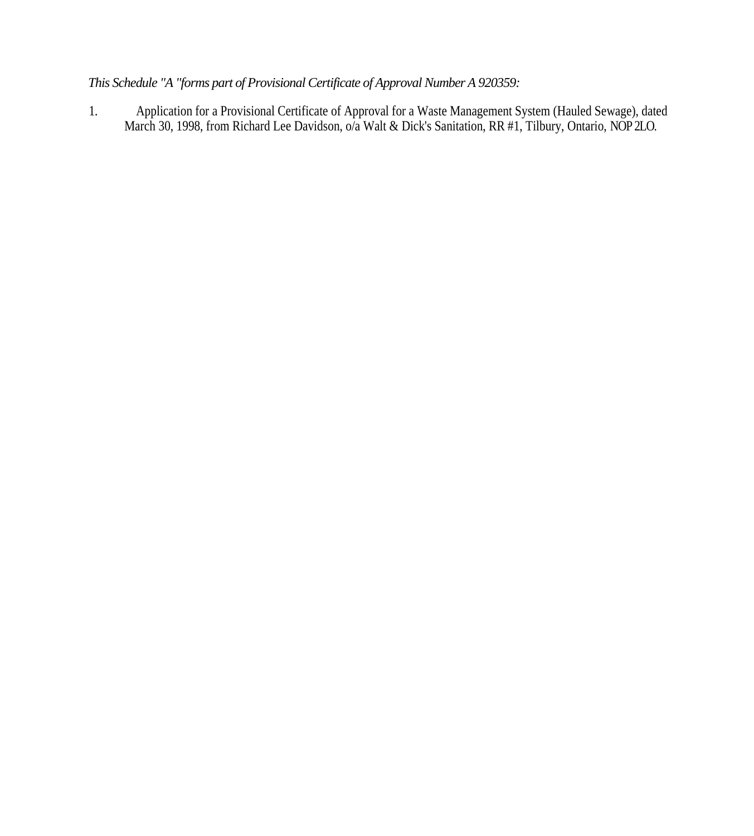# *This Schedule "A "forms part of Provisional Certificate of Approval Number A 920359:*

1. Application for a Provisional Certificate of Approval for a Waste Management System (Hauled Sewage), dated March 30, 1998, from Richard Lee Davidson, o/a Walt & Dick's Sanitation, RR #1, Tilbury, Ontario, NOP 2LO.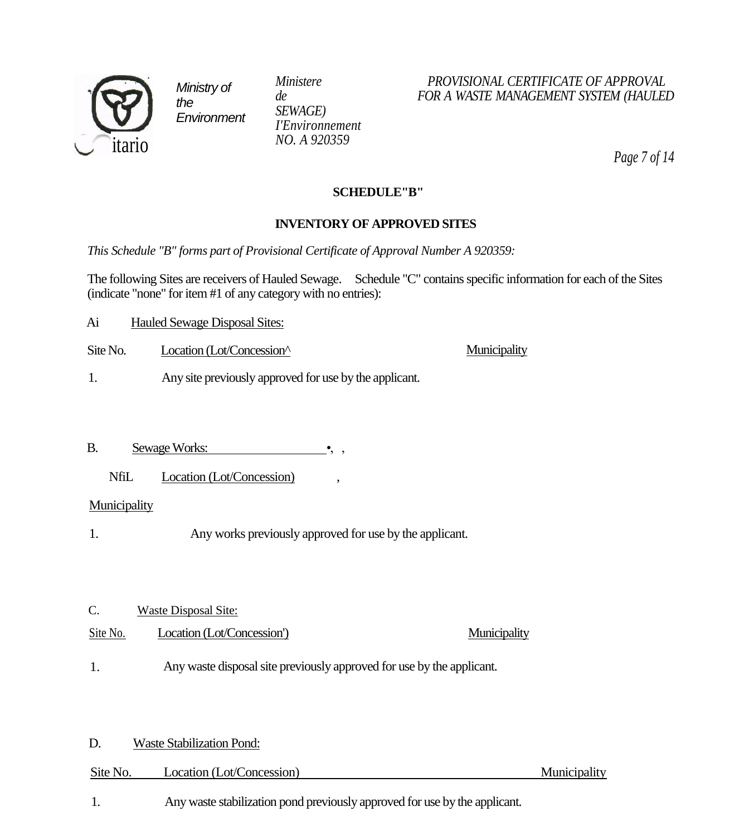

*SEWAGE) I'Environnement NO. A 920359*

### *Ministere PROVISIONAL CERTIFICATE OF APPROVAL de FOR A WASTE MANAGEMENT SYSTEM (HAULED*

**Municipality** 

*Page 7 of 14*

#### **SCHEDULE"B"**

### **INVENTORY OF APPROVED SITES**

*This Schedule "B" forms part of Provisional Certificate of Approval Number A 920359:*

The following Sites are receivers of Hauled Sewage. Schedule "C" contains specific information for each of the Sites (indicate "none" for item #1 of any category with no entries):

- Ai Hauled Sewage Disposal Sites:
- Site No. Location (Lot/Concession<sup>^</sup>
- 1. Any site previously approved for use by the applicant.
- B. Sewage Works:
	- NfiL Location (Lot/Concession)

#### Municipality

- 1. Any works previously approved for use by the applicant.
- C. Waste Disposal Site:
- Site No. Location (Lot/Concession') Municipality
- Any waste disposal site previously approved for use by the applicant. 1.

#### D. Waste Stabilization Pond:

| Site No. | Location (Lot/Concession) |
|----------|---------------------------|
|          |                           |

Municipality

1. Any waste stabilization pond previously approved for use by the applicant.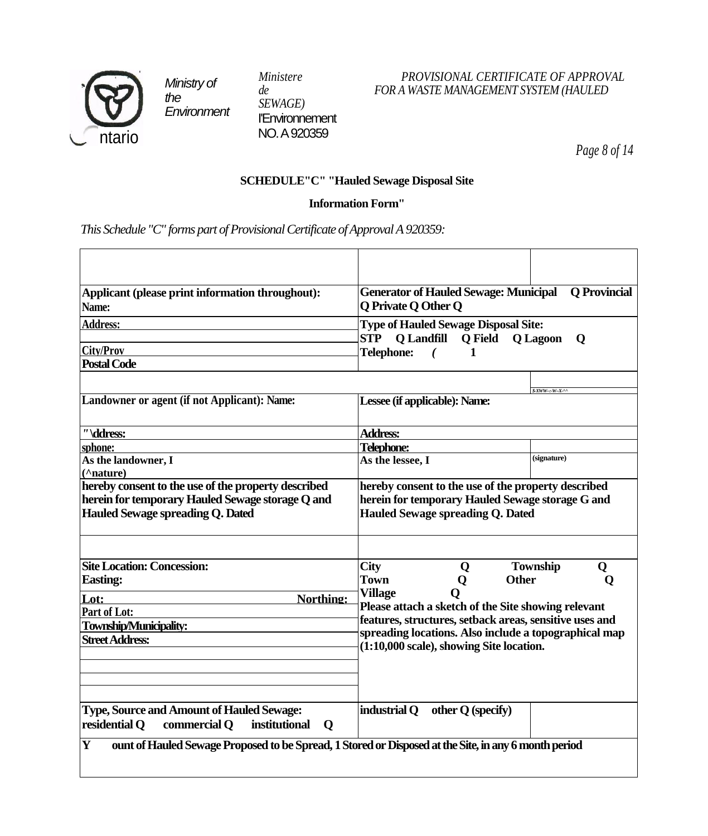

*SEWAGE)* I'Environnement NO. A 920359

## *Ministere PROVISIONAL CERTIFICATE OF APPROVAL de FOR A WASTE MANAGEMENT SYSTEM (HAULED*

*Page 8 of 14*

# **SCHEDULE"C" "Hauled Sewage Disposal Site**

#### **Information Form"**

*This Schedule "C" forms part of Provisional Certificate of Approval A 920359:*

| Applicant (please print information throughout):<br>Name:                                                                                          | <b>Q</b> Provincial<br><b>Generator of Hauled Sewage: Municipal</b><br><b>Q</b> Private Q Other Q                                                                                                                                     |                           |  |
|----------------------------------------------------------------------------------------------------------------------------------------------------|---------------------------------------------------------------------------------------------------------------------------------------------------------------------------------------------------------------------------------------|---------------------------|--|
| <b>Address:</b>                                                                                                                                    | <b>Type of Hauled Sewage Disposal Site:</b><br><b>STP</b><br>Q Landfill<br><b>O</b> Field<br><b>O</b> Lagoon<br>$\mathbf 0$                                                                                                           |                           |  |
| <b>City/Prov</b><br><b>Postal Code</b>                                                                                                             | <b>Telephone:</b><br>1                                                                                                                                                                                                                |                           |  |
|                                                                                                                                                    |                                                                                                                                                                                                                                       | $XWWW-X^N$                |  |
| Landowner or agent (if not Applicant): Name:                                                                                                       | Lessee (if applicable): Name:                                                                                                                                                                                                         |                           |  |
| "\ddress:                                                                                                                                          | <b>Address:</b>                                                                                                                                                                                                                       |                           |  |
| sphone:                                                                                                                                            | <b>Telephone:</b>                                                                                                                                                                                                                     |                           |  |
| As the landowner, I<br>(^nature)                                                                                                                   | As the lessee, I                                                                                                                                                                                                                      | (signature)               |  |
| hereby consent to the use of the property described<br>herein for temporary Hauled Sewage storage Q and<br><b>Hauled Sewage spreading Q. Dated</b> | hereby consent to the use of the property described<br>herein for temporary Hauled Sewage storage G and<br><b>Hauled Sewage spreading Q. Dated</b>                                                                                    |                           |  |
| <b>Site Location: Concession:</b><br><b>Easting:</b>                                                                                               | <b>City</b><br>Q<br><b>Other</b><br><b>Town</b><br>Q                                                                                                                                                                                  | <b>Township</b><br>Q<br>Ő |  |
| Northing:<br>Lot:<br><b>Part of Lot:</b><br>Township/Municipality:<br><b>Street Address:</b>                                                       | <b>Village</b><br>Please attach a sketch of the Site showing relevant<br>features, structures, setback areas, sensitive uses and<br>spreading locations. Also include a topographical map<br>(1:10,000 scale), showing Site location. |                           |  |
| <b>Type, Source and Amount of Hauled Sewage:</b><br>residential Q<br>commercial Q<br>institutional<br>$\mathbf 0$                                  | industrial Q<br>other $Q$ (specify)                                                                                                                                                                                                   |                           |  |
| $\mathbf Y$<br>ount of Hauled Sewage Proposed to be Spread, 1 Stored or Disposed at the Site, in any 6 month period                                |                                                                                                                                                                                                                                       |                           |  |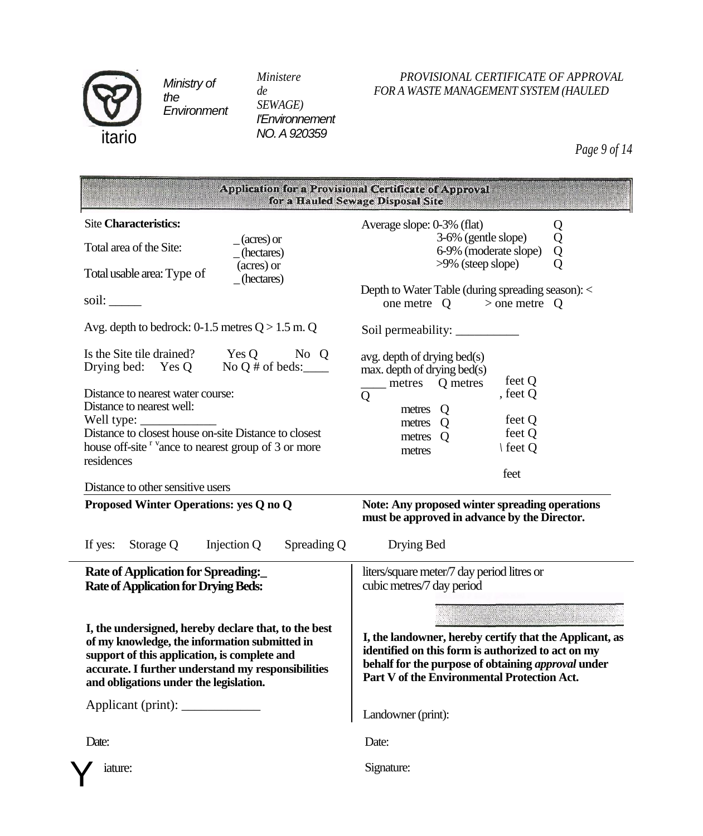

*SEWAGE) I'Environnement NO. A 920359*

## *Ministere PROVISIONAL CERTIFICATE OF APPROVAL de FOR A WASTE MANAGEMENT SYSTEM (HAULED*

*Page 9 of 14*

| Application for a Provisional Certificate of Approval<br>for a Hauled Sewage Disposal Site                                                                                                                                                                                                                           |                                                                                                                                                                                                                       |  |  |  |
|----------------------------------------------------------------------------------------------------------------------------------------------------------------------------------------------------------------------------------------------------------------------------------------------------------------------|-----------------------------------------------------------------------------------------------------------------------------------------------------------------------------------------------------------------------|--|--|--|
| <b>Site Characteristics:</b><br>$(\arcs)$ or<br>Total area of the Site:<br>(hectares)                                                                                                                                                                                                                                | Average slope: 0-3% (flat)<br>Q<br>Q<br>3-6% (gentle slope)<br>Q<br>6-9% (moderate slope)                                                                                                                             |  |  |  |
| (acres) or<br>Total usable area: Type of<br>(hectares)<br>soil:                                                                                                                                                                                                                                                      | $>9\%$ (steep slope)<br>Depth to Water Table (during spreading season): <<br>one metre $Q \rightarrow$ one metre $Q$                                                                                                  |  |  |  |
| Avg. depth to bedrock: 0-1.5 metres $Q > 1.5$ m. Q                                                                                                                                                                                                                                                                   |                                                                                                                                                                                                                       |  |  |  |
| Is the Site tile drained? Yes Q No Q<br>Drying bed: Yes Q No Q # of beds:<br>Distance to nearest water course:<br>Distance to nearest well:<br>Well type: $\frac{\ }{\ }$<br>Distance to closest house on-site Distance to closest<br>house off-site <sup>r v</sup> ance to nearest group of 3 or more<br>residences | $avg.$ depth of drying bed $(s)$<br>$max.$ depth of drying bed $(s)$<br>feet Q<br>metres Q metres<br>, feet Q<br>Q<br>metres<br>Q<br>feet Q<br>metres Q<br>feet Q<br>$\Omega$<br>metres<br>∖ feet Q<br>metres<br>feet |  |  |  |
| Distance to other sensitive users                                                                                                                                                                                                                                                                                    |                                                                                                                                                                                                                       |  |  |  |
| Proposed Winter Operations: yes Q no Q<br>Storage Q<br>Injection Q<br>Spreading Q<br>If yes:                                                                                                                                                                                                                         | <b>Note: Any proposed winter spreading operations</b><br>must be approved in advance by the Director.<br>Drying Bed                                                                                                   |  |  |  |
| <b>Rate of Application for Spreading:</b><br><b>Rate of Application for Drying Beds:</b>                                                                                                                                                                                                                             | liters/square meter/7 day period litres or<br>cubic metres/7 day period                                                                                                                                               |  |  |  |
| I, the undersigned, hereby declare that, to the best<br>of my knowledge, the information submitted in<br>support of this application, is complete and<br>accurate. I further understand my responsibilities<br>and obligations under the legislation.                                                                | I, the landowner, hereby certify that the Applicant, as<br>identified on this form is authorized to act on my<br>behalf for the purpose of obtaining approval under<br>Part V of the Environmental Protection Act.    |  |  |  |
|                                                                                                                                                                                                                                                                                                                      | Landowner (print):                                                                                                                                                                                                    |  |  |  |
| Date:                                                                                                                                                                                                                                                                                                                | Date:                                                                                                                                                                                                                 |  |  |  |
| iature:                                                                                                                                                                                                                                                                                                              | Signature:                                                                                                                                                                                                            |  |  |  |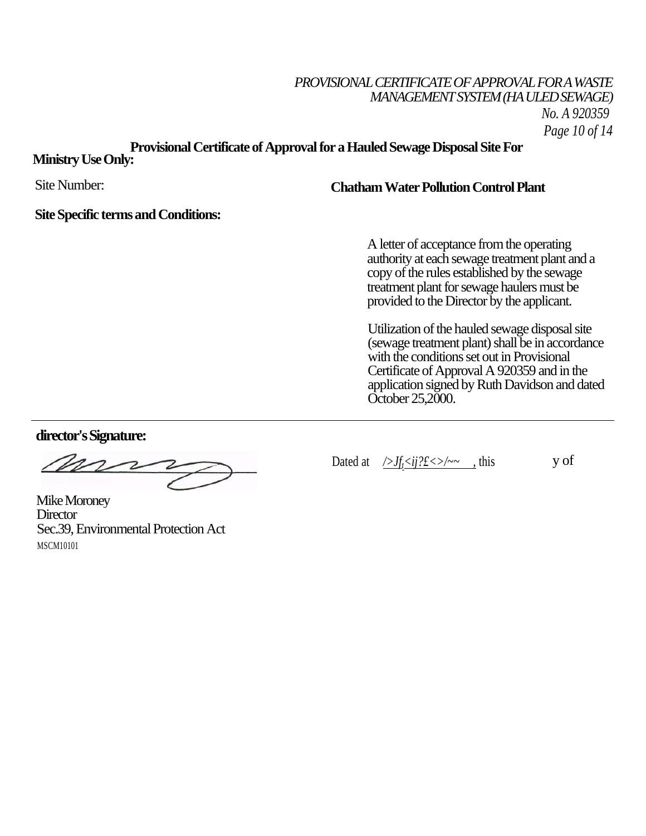# *PROVISIONAL CERTIFICATE OF APPROVAL FOR A WASTE MANAGEMENT SYSTEM (HA ULED SEWAGE) No. A 920359 Page 10 of 14*

# **Provisional Certificate of Approval for a Hauled Sewage Disposal Site For**

# **Ministry Use Only:**

Site Number:

## **Chatham Water Pollution Control Plant**

#### **Site Specific terms and Conditions:**

A letter of acceptance from the operating authority at each sewage treatment plant and a copy of the rules established by the sewage treatment plant for sewage haulers must be provided to the Director by the applicant.

Utilization of the hauled sewage disposal site (sewage treatment plant) shall be in accordance with the conditions set out in Provisional Certificate of Approval A 920359 and in the application signed by Ruth Davidson and dated October 25,2000.

**director's Signature:**

mr

Mike Moroney **Director** Sec.39, Environmental Protection Act MSCM10101

Dated at  $\sqrt{f_f} \le i j? f \le \sqrt{2}$ , this y of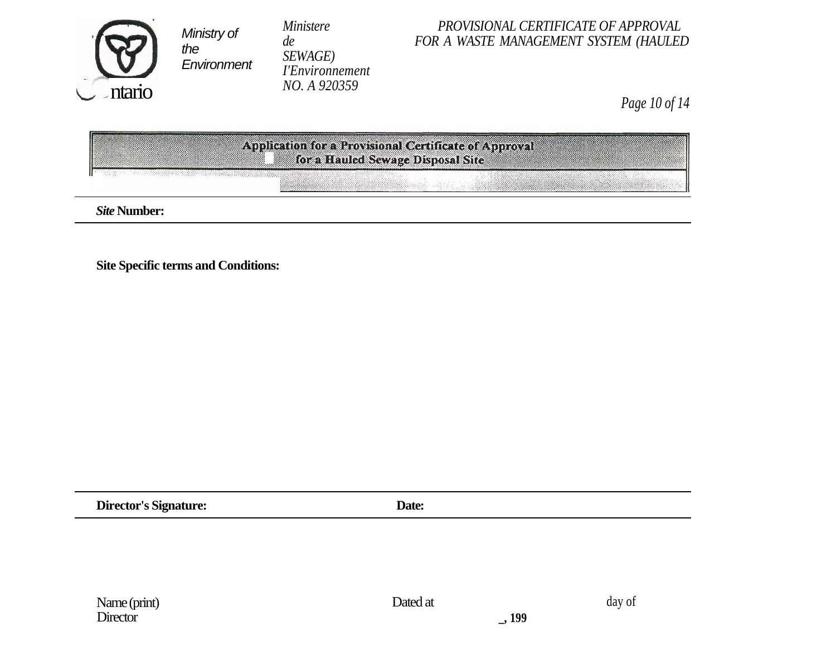

*SEWAGE) I'Environnement NO. A 920359*

### *Ministere PROVISIONAL CERTIFICATE OF APPROVAL*<br>*FOR A WASTE MANAGEMENT SYSTEM (HAULEI* **FOR A WASTE MANAGEMENT SYSTEM (HAULED**

*Page 10 of 14*

| Application for a Provisional Certificate of Approval |  |
|-------------------------------------------------------|--|
| for a Hauled Sewage Disposal Site                     |  |
|                                                       |  |

*Site* **Number:**

 $\sim$ 

**Site Specific terms and Conditions:**

**Director's Signature: Date:**

**\_, 199**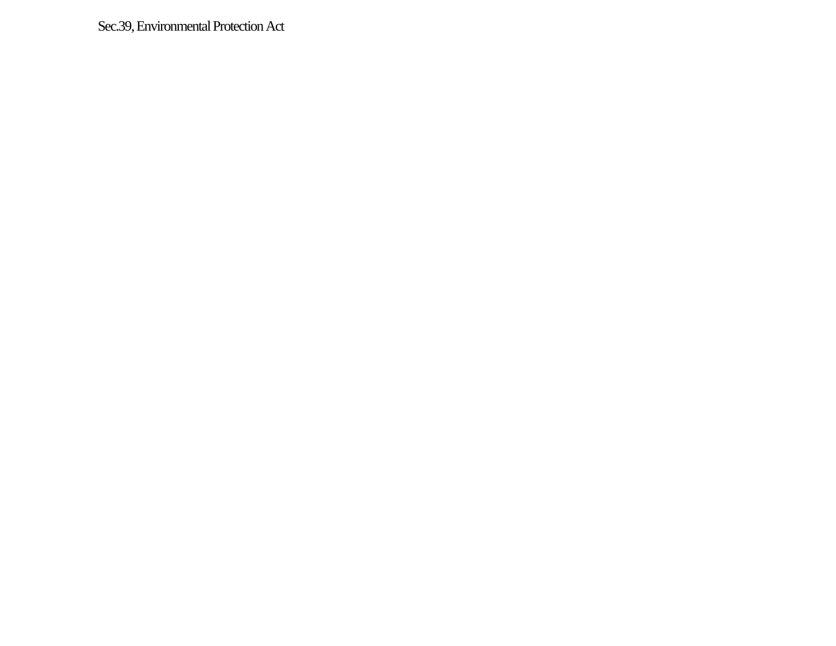Sec.39, Environmental Protection Act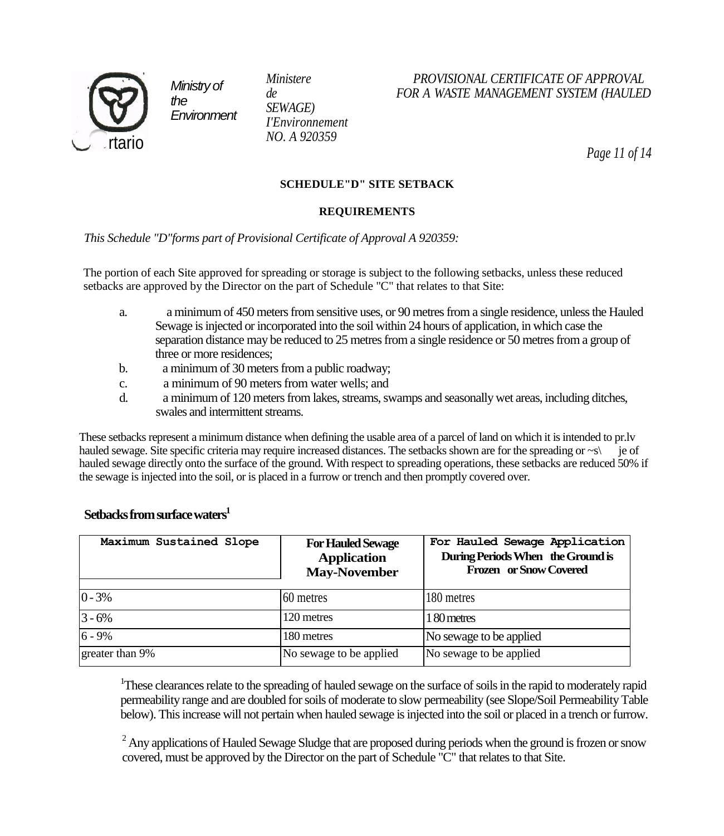

*SEWAGE) I'Environnement NO. A 920359*

# *Ministere PROVISIONAL CERTIFICATE OF APPROVAL de FOR A WASTE MANAGEMENT SYSTEM (HAULED*

*Page 11 of 14*

#### **SCHEDULE"D" SITE SETBACK**

#### **REQUIREMENTS**

*This Schedule "D"forms part of Provisional Certificate of Approval A 920359:*

The portion of each Site approved for spreading or storage is subject to the following setbacks, unless these reduced setbacks are approved by the Director on the part of Schedule "C" that relates to that Site:

- a. a minimum of 450 meters from sensitive uses, or 90 metres from a single residence, unless the Hauled Sewage is injected or incorporated into the soil within 24 hours of application, in which case the separation distance may be reduced to 25 metres from a single residence or 50 metres from a group of three or more residences;
- b. a minimum of 30 meters from a public roadway;
- c. a minimum of 90 meters from water wells; and
- d. a minimum of 120 meters from lakes, streams, swamps and seasonally wet areas, including ditches, swales and intermittent streams.

These setbacks represent a minimum distance when defining the usable area of a parcel of land on which it is intended to pr.lv hauled sewage. Site specific criteria may require increased distances. The setbacks shown are for the spreading or ~s\ je of hauled sewage directly onto the surface of the ground. With respect to spreading operations, these setbacks are reduced 50% if the sewage is injected into the soil, or is placed in a furrow or trench and then promptly covered over.

| Maximum Sustained Slope | <b>For Hauled Sewage</b><br><b>Application</b><br><b>May-November</b> | For Hauled Sewage Application<br>During Periods When the Ground is<br>Frozen or Snow Covered |  |
|-------------------------|-----------------------------------------------------------------------|----------------------------------------------------------------------------------------------|--|
| $ 0 - 3\% $             | 60 metres                                                             | 180 metres                                                                                   |  |
| $3 - 6%$                | 120 metres                                                            | 180 metres                                                                                   |  |
| $6 - 9%$                | 180 metres                                                            | No sewage to be applied                                                                      |  |
| greater than 9%         | No sewage to be applied                                               | No sewage to be applied                                                                      |  |

#### **Setbacks from surface waters<sup>1</sup>**

<sup>1</sup>These clearances relate to the spreading of hauled sewage on the surface of soils in the rapid to moderately rapid permeability range and are doubled for soils of moderate to slow permeability (see Slope/Soil Permeability Table below). This increase will not pertain when hauled sewage is injected into the soil or placed in a trench or furrow.

<sup>2</sup> Any applications of Hauled Sewage Sludge that are proposed during periods when the ground is frozen or snow covered, must be approved by the Director on the part of Schedule "C" that relates to that Site.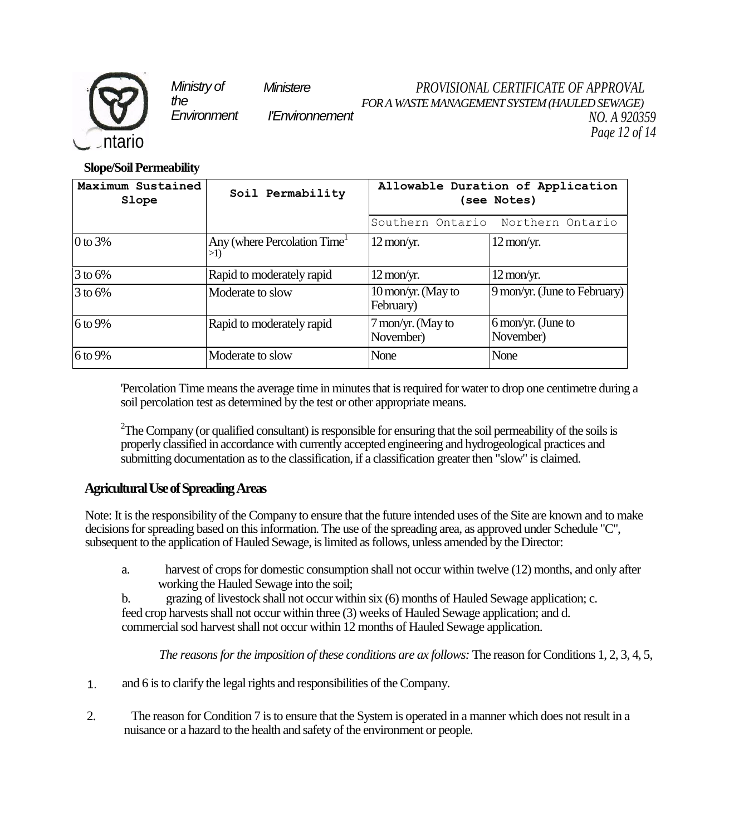

*Ministry of Ministere the* 

*Environment I'Environnement*

*PROVISIONAL CERTIFICATE OF APPROVAL FOR A WASTE MANAGEMENT SYSTEM (HAULED SEWAGE) NO. A 920359 Page 12 of 14*

**Slope/Soil Permeability**

| Maximum Sustained<br>Slope | Soil Permability                               | Allowable Duration of Application<br>(see Notes) |                                               |
|----------------------------|------------------------------------------------|--------------------------------------------------|-----------------------------------------------|
|                            |                                                | Southern Ontario<br>Northern Ontario             |                                               |
| 0 to $3%$                  | Any (where Percolation Time <sup>1</sup><br>>1 | $12 \,\mathrm{mon/yr}$ .                         | $12 \text{ mon/yr}.$                          |
| 3 to 6%                    | Rapid to moderately rapid                      | $12 \,\mathrm{mon/yr}$ .                         | $12 \text{ mon/yr}.$                          |
| $3$ to 6%                  | Moderate to slow                               | $10 \,\mathrm{mon/yr}$ . (May to<br>February)    | 9 mon/yr. (June to February)                  |
| $6$ to 9%                  | Rapid to moderately rapid                      | 7 mon/yr. (May to<br>November)                   | $6 \,\mathrm{mon/yr}$ . (June to<br>November) |
| 6 to 9%                    | Moderate to slow                               | None                                             | None                                          |

'Percolation Time means the average time in minutes that is required for water to drop one centimetre during a soil percolation test as determined by the test or other appropriate means.

 $2$ The Company (or qualified consultant) is responsible for ensuring that the soil permeability of the soils is properly classified in accordance with currently accepted engineering and hydrogeological practices and submitting documentation as to the classification, if a classification greater then "slow" is claimed.

# **Agricultural Use of Spreading Areas**

Note: It is the responsibility of the Company to ensure that the future intended uses of the Site are known and to make decisions for spreading based on this information. The use of the spreading area, as approved under Schedule "C", subsequent to the application of Hauled Sewage, is limited as follows, unless amended by the Director:

a. harvest of crops for domestic consumption shall not occur within twelve (12) months, and only after working the Hauled Sewage into the soil;

b. grazing of livestock shall not occur within six (6) months of Hauled Sewage application; c. feed crop harvests shall not occur within three (3) weeks of Hauled Sewage application; and d. commercial sod harvest shall not occur within 12 months of Hauled Sewage application.

*The reasons for the imposition of these conditions are ax follows:* The reason for Conditions 1, 2, 3, 4, 5,

- and 6 is to clarify the legal rights and responsibilities of the Company. 1.
- 2. The reason for Condition 7 is to ensure that the System is operated in a manner which does not result in a nuisance or a hazard to the health and safety of the environment or people.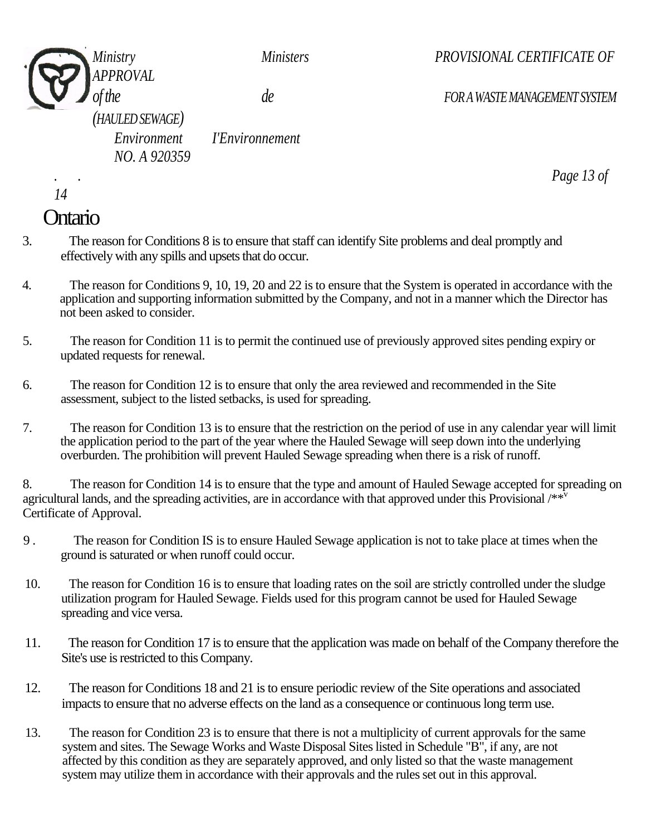

*Ministry Ministers PROVISIONAL CERTIFICATE OF* 

*of the de FOR A WASTE MANAGEMENT SYSTEM* 

*.* . *Page 13 of* 

*(HAULED SEWAGE) NO. A 920359*

*Environment I'Environnement* 

*14*

# **Ontario**

- 3. The reason for Conditions 8 is to ensure that staff can identify Site problems and deal promptly and effectively with any spills and upsets that do occur.
- 4. The reason for Conditions 9, 10, 19, 20 and 22 is to ensure that the System is operated in accordance with the application and supporting information submitted by the Company, and not in a manner which the Director has not been asked to consider.
- 5. The reason for Condition 11 is to permit the continued use of previously approved sites pending expiry or updated requests for renewal.
- 6. The reason for Condition 12 is to ensure that only the area reviewed and recommended in the Site assessment, subject to the listed setbacks, is used for spreading.
- 7. The reason for Condition 13 is to ensure that the restriction on the period of use in any calendar year will limit the application period to the part of the year where the Hauled Sewage will seep down into the underlying overburden. The prohibition will prevent Hauled Sewage spreading when there is a risk of runoff.

8. The reason for Condition 14 is to ensure that the type and amount of Hauled Sewage accepted for spreading on agricultural lands, and the spreading activities, are in accordance with that approved under this Provisional /\*\*<sup>v</sup> Certificate of Approval.

- 9 . The reason for Condition IS is to ensure Hauled Sewage application is not to take place at times when the ground is saturated or when runoff could occur.
- 10. The reason for Condition 16 is to ensure that loading rates on the soil are strictly controlled under the sludge utilization program for Hauled Sewage. Fields used for this program cannot be used for Hauled Sewage spreading and vice versa.
- 11. The reason for Condition 17 is to ensure that the application was made on behalf of the Company therefore the Site's use is restricted to this Company.
- 12. The reason for Conditions 18 and 21 is to ensure periodic review of the Site operations and associated impacts to ensure that no adverse effects on the land as a consequence or continuous long term use.
- 13. The reason for Condition 23 is to ensure that there is not a multiplicity of current approvals for the same system and sites. The Sewage Works and Waste Disposal Sites listed in Schedule "B", if any, are not affected by this condition as they are separately approved, and only listed so that the waste management system may utilize them in accordance with their approvals and the rules set out in this approval.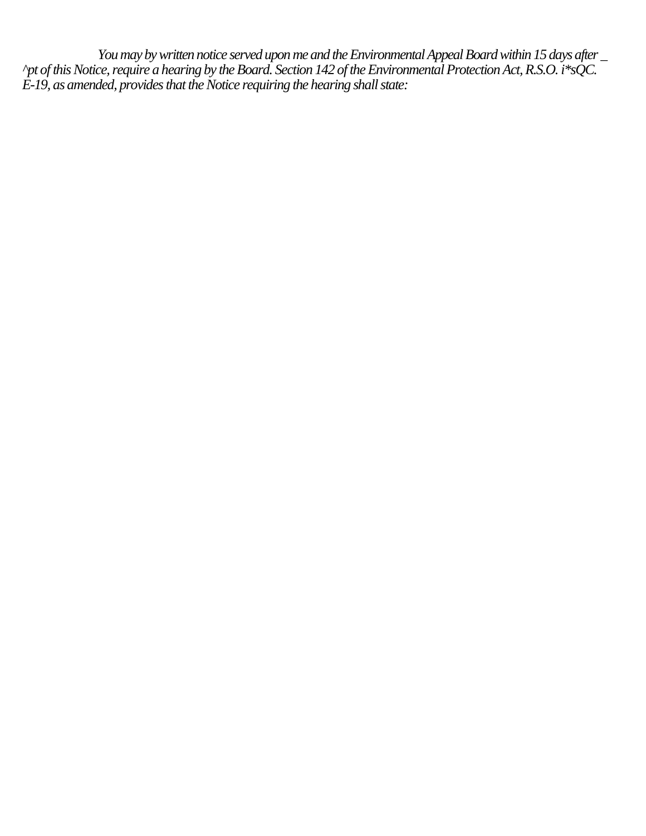*You may by written notice served upon me and the Environmental Appeal Board within 15 days after* \_ *^pt of this Notice, require a hearing by the Board. Section 142 of the Environmental Protection Act, R.S.O. i\*sQC. E-19, as amended, provides that the Notice requiring the hearing shall state:*